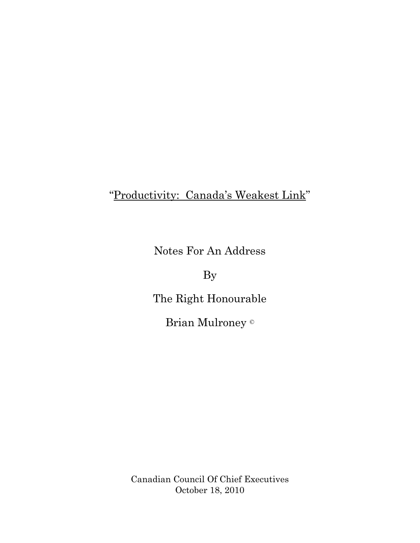## "Productivity: Canada's Weakest Link"

Notes For An Address

By

The Right Honourable

Brian Mulroney ©

Canadian Council Of Chief Executives October 18, 2010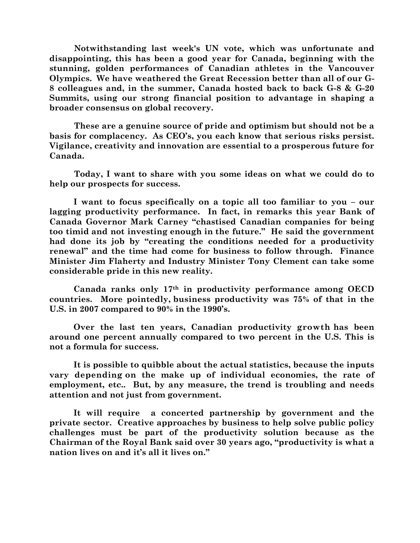**Notwithstanding last week's UN vote, which was unfortunate and disappointing, this has been a good year for Canada, beginning with the stunning, golden performances of Canadian athletes in the Vancouver Olympics. We have weathered the Great Recession better than all of our G-8 colleagues and, in the summer, Canada hosted back to back G-8 & G-20 Summits, using our strong financial position to advantage in shaping a broader consensus on global recovery.**

**These are a genuine source of pride and optimism but should not be a basis for complacency. As CEO's, you each know that serious risks persist. Vigilance, creativity and innovation are essential to a prosperous future for Canada.**

**Today, I want to share with you some ideas on what we could do to help our prospects for success.**

**I want to focus specifically on a topic all too familiar to you – our lagging productivity performance. In fact, in remarks this year Bank of Canada Governor Mark Carney "chastised Canadian companies for being too timid and not investing enough in the future." He said the government had done its job by "creating the conditions needed for a productivity renewal" and the time had come for business to follow through. Finance Minister Jim Flaherty and Industry Minister Tony Clement can take some considerable pride in this new reality.**

**Canada ranks only 17th in productivity performance among OECD countries. More pointedly, business productivity was 75% of that in the U.S. in 2007 compared to 90% in the 1990's.**

**Over the last ten years, Canadian productivity growth has been around one percent annually compared to two percent in the U.S. This is not a formula for success.**

**It is possible to quibble about the actual statistics, because the inputs vary depending on the make up of individual economies, the rate of employment, etc.. But, by any measure, the trend is troubling and needs attention and not just from government.**

**It will require a concerted partnership by government and the private sector. Creative approaches by business to help solve public policy challenges must be part of the productivity solution because as the Chairman of the Royal Bank said over 30 years ago, "productivity is what a nation lives on and it's all it lives on."**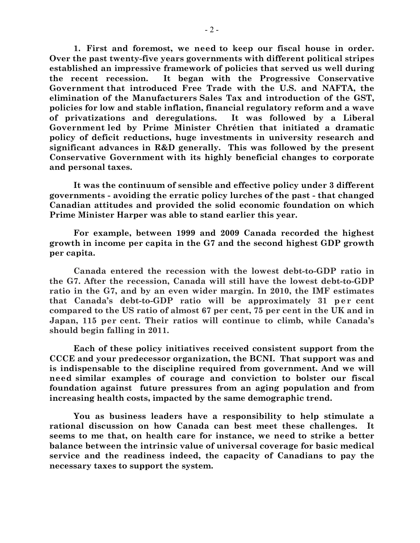**1. First and foremost, we need to keep our fiscal house in order. Over the past twenty-five years governments with different political stripes established an impressive framework of policies that served us well during the recent recession. It began with the Progressive Conservative Government that introduced Free Trade with the U.S. and NAFTA, the elimination of the Manufacturers Sales Tax and introduction of the GST, policies for low and stable inflation, financial regulatory reform and a wave of privatizations and deregulations. It was followed by a Liberal Government led by Prime Minister Chrétien that initiated a dramatic policy of deficit reductions, huge investments in university research and significant advances in R&D generally. This was followed by the present Conservative Government with its highly beneficial changes to corporate and personal taxes.**

**It was the continuum of sensible and effective policy under 3 different governments - avoiding the erratic policy lurches of the past - that changed Canadian attitudes and provided the solid economic foundation on which Prime Minister Harper was able to stand earlier this year.**

**For example, between 1999 and 2009 Canada recorded the highest growth in income per capita in the G7 and the second highest GDP growth per capita.**

**Canada entered the recession with the lowest debt-to-GDP ratio in the G7. After the recession, Canada will still have the lowest debt-to-GDP ratio in the G7, and by an even wider margin. In 2010, the IMF estimates that Canada's debt-to-GDP ratio will be approximately 31 per cent compared to the US ratio of almost 67 per cent, 75 per cent in the UK and in Japan, 115 per cent. Their ratios will continue to climb, while Canada's should begin falling in 2011.** 

**Each of these policy initiatives received consistent support from the CCCE and your predecessor organization, the BCNI. That support was and is indispensable to the discipline required from government. And we will need similar examples of courage and conviction to bolster our fiscal foundation against future pressures from an aging population and from increasing health costs, impacted by the same demographic trend.** 

**You as business leaders have a responsibility to help stimulate a rational discussion on how Canada can best meet these challenges. It seems to me that, on health care for instance, we need to strike a better balance between the intrinsic value of universal coverage for basic medical service and the readiness indeed, the capacity of Canadians to pay the necessary taxes to support the system.**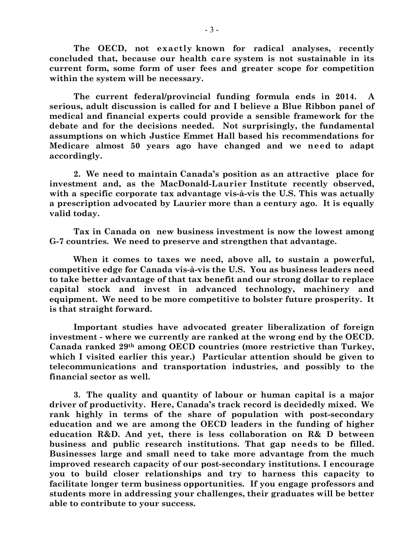**The OECD, not exactly known for radical analyses, recently concluded that, because our health care system is not sustainable in its current form, some form of user fees and greater scope for competition within the system will be necessary.**

**The current federal/provincial funding formula ends in 2014. A serious, adult discussion is called for and I believe a Blue Ribbon panel of medical and financial experts could provide a sensible framework for the debate and for the decisions needed. Not surprisingly, the fundamental assumptions on which Justice Emmet Hall based his recommendations for Medicare almost 50 years ago have changed and we need to adapt accordingly.** 

**2. We need to maintain Canada's position as an attractive place for investment and, as the MacDonald-Laurier Institute recently observed, with a specific corporate tax advantage vis-à-vis the U.S. This was actually a prescription advocated by Laurier more than a century ago. It is equally valid today.**

**Tax in Canada on new business investment is now the lowest among G-7 countries. We need to preserve and strengthen that advantage.**

**When it comes to taxes we need, above all, to sustain a powerful, competitive edge for Canada vis-à-vis the U.S. You as business leaders need to take better advantage of that tax benefit and our strong dollar to replace capital stock and invest in advanced technology, machinery and equipment. We need to be more competitive to bolster future prosperity. It is that straight forward.** 

**Important studies have advocated greater liberalization of foreign investment - where we currently are ranked at the wrong end by the OECD. Canada ranked 29th among OECD countries (more restrictive than Turkey, which I visited earlier this year.) Particular attention should be given to telecommunications and transportation industries, and possibly to the financial sector as well.** 

**3. The quality and quantity of labour or human capital is a major driver of productivity. Here, Canada's track record is decidedly mixed. We rank highly in terms of the share of population with post-secondary education and we are among the OECD leaders in the funding of higher education R&D. And yet, there is less collaboration on R& D between business and public research institutions. That gap needs to be filled. Businesses large and small need to take more advantage from the much improved research capacity of our post-secondary institutions. I encourage you to build closer relationships and try to harness this capacity to facilitate longer term business opportunities. If you engage professors and students more in addressing your challenges, their graduates will be better able to contribute to your success.**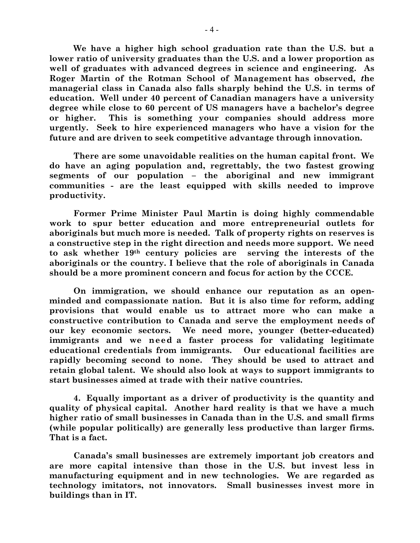**We have a higher high school graduation rate than the U.S. but a lower ratio of university graduates than the U.S. and a lower proportion as well of graduates with advanced degrees in science and engineering. As Roger Martin of the Rotman School of Management has observed,** *t***he managerial class in Canada also falls sharply behind the U.S. in terms of education. Well under 40 percent of Canadian managers have a university degree while close to 60 percent of US managers have a bachelor's degree or higher. This is something your companies should address more urgently. Seek to hire experienced managers who have a vision for the future and are driven to seek competitive advantage through innovation.**

**There are some unavoidable realities on the human capital front. We do have an aging population and, regrettably, the two fastest growing segments of our population – the aboriginal and new immigrant communities - are the least equipped with skills needed to improve productivity.**

**Former Prime Minister Paul Martin is doing highly commendable work to spur better education and more entrepreneurial outlets for aboriginals but much more is needed. Talk of property rights on reserves is a constructive step in the right direction and needs more support. We need to ask whether 19th century policies are serving the interests of the aboriginals or the country. I believe that the role of aboriginals in Canada should be a more prominent concern and focus for action by the CCCE.**

**On immigration, we should enhance our reputation as an openminded and compassionate nation. But it is also time for reform, adding provisions that would enable us to attract more who can make a constructive contribution to Canada and serve the employment needs of our key economic sectors. We need more, younger (better-educated) immigrants and we need a faster process for validating legitimate educational credentials from immigrants. Our educational facilities are rapidly becoming second to none. They should be used to attract and retain global talent. We should also look at ways to support immigrants to start businesses aimed at trade with their native countries.**

**4. Equally important as a driver of productivity is the quantity and quality of physical capital. Another hard reality is that we have a much higher ratio of small businesses in Canada than in the U.S. and small firms (while popular politically) are generally less productive than larger firms. That is a fact.**

**Canada's small businesses are extremely important job creators and are more capital intensive than those in the U.S. but invest less in manufacturing equipment and in new technologies. We are regarded as technology imitators, not innovators. Small businesses invest more in buildings than in IT.**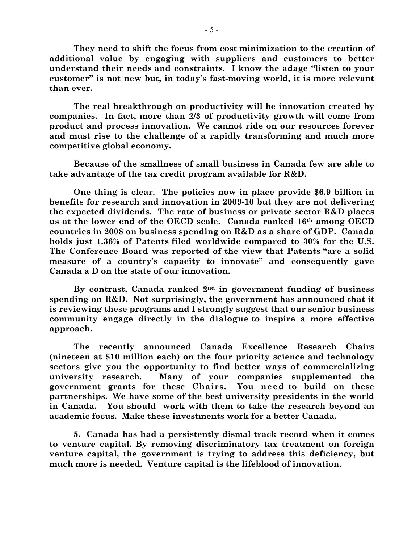**They need to shift the focus from cost minimization to the creation of additional value by engaging with suppliers and customers to better understand their needs and constraints. I know the adage "listen to your customer" is not new but, in today's fast-moving world, it is more relevant than ever.** 

**The real breakthrough on productivity will be innovation created by companies. In fact, more than 2/3 of productivity growth will come from product and process innovation. We cannot ride on our resources forever and must rise to the challenge of a rapidly transforming and much more competitive global economy.** 

**Because of the smallness of small business in Canada few are able to take advantage of the tax credit program available for R&D.**

**One thing is clear. The policies now in place provide \$6.9 billion in benefits for research and innovation in 2009-10 but they are not delivering the expected dividends. The rate of business or private sector R&D places us at the lower end of the OECD scale. Canada ranked 16th among OECD countries in 2008 on business spending on R&D as a share of GDP. Canada holds just 1.36% of Patents filed worldwide compared to 30% for the U.S. The Conference Board was reported of the view that Patents "are a solid measure of a country's capacity to innovate" and consequently gave Canada a D on the state of our innovation.**

**By contrast, Canada ranked 2nd in government funding of business spending on R&D. Not surprisingly, the government has announced that it is reviewing these programs and I strongly suggest that our senior business community engage directly in the dialogue to inspire a more effective approach.**

**The recently announced Canada Excellence Research Chairs (nineteen at \$10 million each) on the four priority science and technology sectors give you the opportunity to find better ways of commercializing university research. Many of your companies supplemented the government grants for these Chairs. You need to build on these partnerships. We have some of the best university presidents in the world in Canada. You should work with them to take the research beyond an academic focus. Make these investments work for a better Canada.**

**5. Canada has had a persistently dismal track record when it comes to venture capital. By removing discriminatory tax treatment on foreign venture capital, the government is trying to address this deficiency, but much more is needed. Venture capital is the lifeblood of innovation.**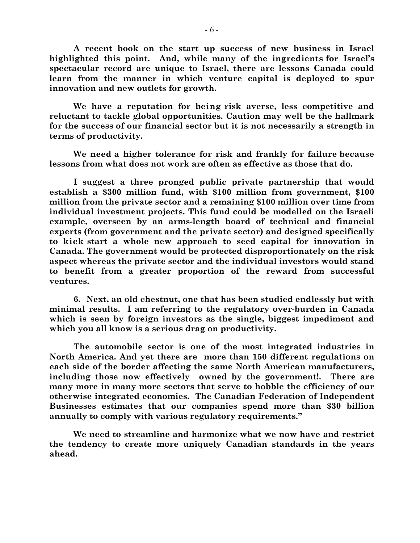**A recent book on the start up success of new business in Israel highlighted this point. And, while many of the ingredients for Israel's spectacular record are unique to Israel, there are lessons Canada could learn from the manner in which venture capital is deployed to spur innovation and new outlets for growth.** 

**We have a reputation for being risk averse, less competitive and reluctant to tackle global opportunities. Caution may well be the hallmark for the success of our financial sector but it is not necessarily a strength in terms of productivity.** 

**We need a higher tolerance for risk and frankly for failure because lessons from what does not work are often as effective as those that do.**

**I suggest a three pronged public private partnership that would establish a \$300 million fund, with \$100 million from government, \$100 million from the private sector and a remaining \$100 million over time from individual investment projects. This fund could be modelled on the Israeli example, overseen by an arms-length board of technical and financial experts (from government and the private sector) and designed specifically to kick start a whole new approach to seed capital for innovation in Canada. The government would be protected disproportionately on the risk aspect whereas the private sector and the individual investors would stand to benefit from a greater proportion of the reward from successful ventures.** 

**6. Next, an old chestnut, one that has been studied endlessly but with minimal results. I am referring to the regulatory over-burden in Canada which is seen by foreign investors as the single, biggest impediment and which you all know is a serious drag on productivity.** 

**The automobile sector is one of the most integrated industries in North America. And yet there are more than 150 different regulations on each side of the border affecting the same North American manufacturers, including those now effectively owned by the government!. There are many more in many more sectors that serve to hobble the efficiency of our otherwise integrated economies. The Canadian Federation of Independent Businesses estimates that our companies spend more than \$30 billion annually to comply with various regulatory requirements."**

**We need to streamline and harmonize what we now have and restrict the tendency to create more uniquely Canadian standards in the years ahead.**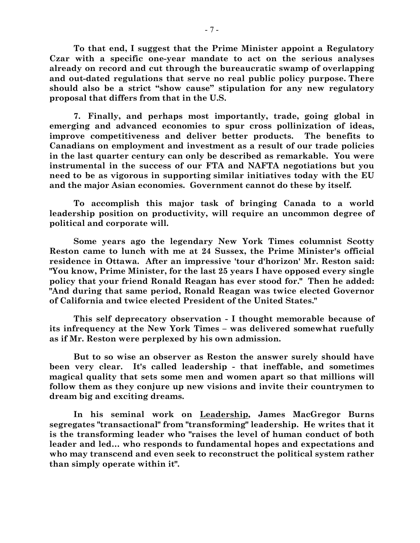**To that end, I suggest that the Prime Minister appoint a Regulatory Czar with a specific one-year mandate to act on the serious analyses already on record and cut through the bureaucratic swamp of overlapping and out-dated regulations that serve no real public policy purpose. There should also be a strict "show cause" stipulation for any new regulatory proposal that differs from that in the U.S.**

**7. Finally, and perhaps most importantly, trade, going global in emerging and advanced economies to spur cross pollinization of ideas, improve competitiveness and deliver better products. The benefits to Canadians on employment and investment as a result of our trade policies in the last quarter century can only be described as remarkable. You were instrumental in the success of our FTA and NAFTA negotiations but you need to be as vigorous in supporting similar initiatives today with the EU and the major Asian economies. Government cannot do these by itself.**

**To accomplish this major task of bringing Canada to a world leadership position on productivity, will require an uncommon degree of political and corporate will.**

**Some years ago the legendary New York Times columnist Scotty Reston came to lunch with me at 24 Sussex, the Prime Minister's official residence in Ottawa. After an impressive 'tour d'horizon' Mr. Reston said: "You know, Prime Minister, for the last 25 years I have opposed every single policy that your friend Ronald Reagan has ever stood for." Then he added: "And during that same period, Ronald Reagan was twice elected Governor of California and twice elected President of the United States."**

**This self deprecatory observation - I thought memorable because of its infrequency at the New York Times – was delivered somewhat ruefully as if Mr. Reston were perplexed by his own admission.**

**But to so wise an observer as Reston the answer surely should have been very clear. It's called leadership - that ineffable, and sometimes magical quality that sets some men and women apart so that millions will follow them as they conjure up new visions and invite their countrymen to dream big and exciting dreams.**

**In his seminal work on Leadership, James MacGregor Burns segregates "transactional" from "transforming" leadership. He writes that it is the transforming leader who "raises the level of human conduct of both leader and led… who responds to fundamental hopes and expectations and who may transcend and even seek to reconstruct the political system rather than simply operate within it".**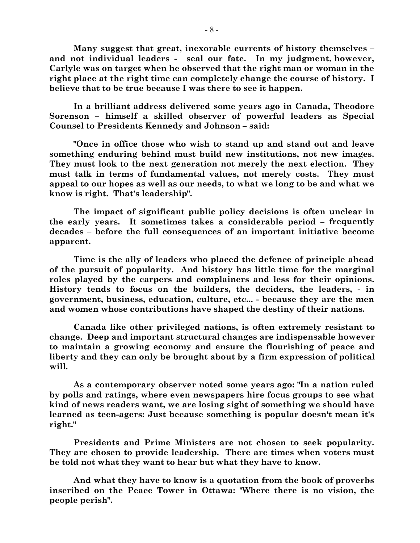**Many suggest that great, inexorable currents of history themselves – and not individual leaders - seal our fate. In my judgment, however, Carlyle was on target when he observed that the right man or woman in the right place at the right time can completely change the course of history. I believe that to be true because I was there to see it happen.**

**In a brilliant address delivered some years ago in Canada, Theodore Sorenson – himself a skilled observer of powerful leaders as Special Counsel to Presidents Kennedy and Johnson – said:**

**"Once in office those who wish to stand up and stand out and leave something enduring behind must build new institutions, not new images. They must look to the next generation not merely the next election. They must talk in terms of fundamental values, not merely costs. They must appeal to our hopes as well as our needs, to what we long to be and what we know is right. That's leadership".**

**The impact of significant public policy decisions is often unclear in the early years. It sometimes takes a considerable period – frequently decades – before the full consequences of an important initiative become apparent.**

**Time is the ally of leaders who placed the defence of principle ahead of the pursuit of popularity. And history has little time for the marginal roles played by the carpers and complainers and less for their opinions. History tends to focus on the builders, the deciders, the leaders, - in government, business, education, culture, etc... - because they are the men and women whose contributions have shaped the destiny of their nations.**

**Canada like other privileged nations, is often extremely resistant to change. Deep and important structural changes are indispensable however to maintain a growing economy and ensure the flourishing of peace and liberty and they can only be brought about by a firm expression of political will.**

**As a contemporary observer noted some years ago: "In a nation ruled by polls and ratings, where even newspapers hire focus groups to see what kind of news readers want, we are losing sight of something we should have learned as teen-agers: Just because something is popular doesn't mean it's right."**

**Presidents and Prime Ministers are not chosen to seek popularity. They are chosen to provide leadership. There are times when voters must be told not what they want to hear but what they have to know.**

**And what they have to know is a quotation from the book of proverbs inscribed on the Peace Tower in Ottawa: "Where there is no vision, the people perish".**